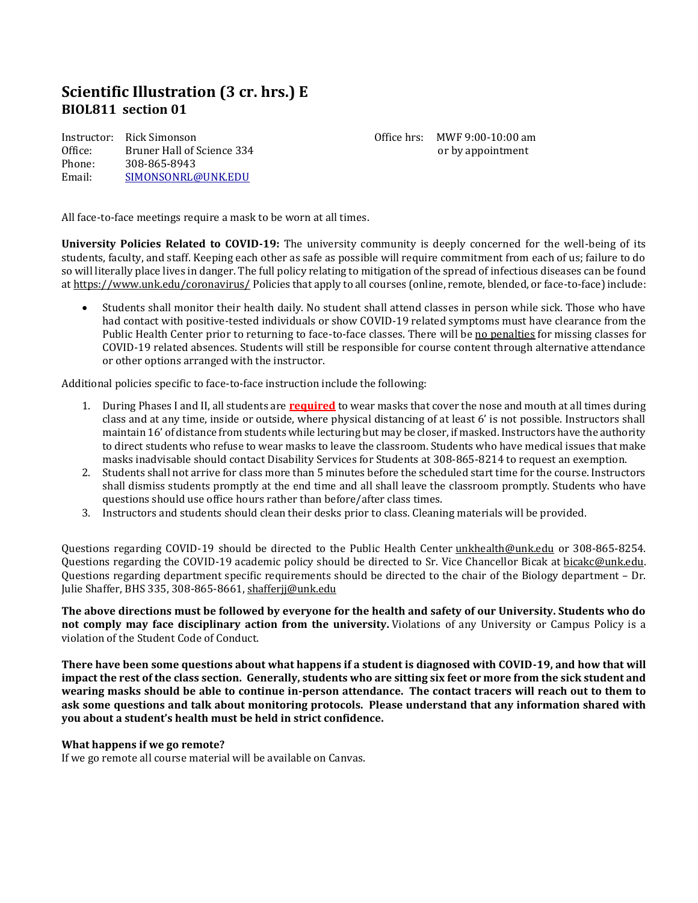# **Scientific Illustration (3 cr. hrs.) E BIOL811 section 01**

Instructor: Rick Simonson Office: Bruner Hall of Science 334 Phone: 308-865-8943 Email: [SIMONSONRL@UNK.EDU](mailto:SIMONSONRL@UNK.EDU)

Office hrs: MWF 9:00-10:00 am or by appointment

All face-to-face meetings require a mask to be worn at all times.

**University Policies Related to COVID-19:** The university community is deeply concerned for the well-being of its students, faculty, and staff. Keeping each other as safe as possible will require commitment from each of us; failure to do so will literally place lives in danger. The full policy relating to mitigation of the spread of infectious diseases can be found at <https://www.unk.edu/coronavirus/> Policies that apply to all courses (online, remote, blended, or face-to-face) include:

• Students shall monitor their health daily. No student shall attend classes in person while sick. Those who have had contact with positive-tested individuals or show COVID-19 related symptoms must have clearance from the Public Health Center prior to returning to face-to-face classes. There will be no penalties for missing classes for COVID-19 related absences. Students will still be responsible for course content through alternative attendance or other options arranged with the instructor.

Additional policies specific to face-to-face instruction include the following:

- 1. During Phases I and II, all students are **required** to wear masks that cover the nose and mouth at all times during class and at any time, inside or outside, where physical distancing of at least 6' is not possible. Instructors shall maintain 16' of distance from students while lecturing but may be closer, if masked. Instructors have the authority to direct students who refuse to wear masks to leave the classroom. Students who have medical issues that make masks inadvisable should contact Disability Services for Students at 308-865-8214 to request an exemption.
- 2. Students shall not arrive for class more than 5 minutes before the scheduled start time for the course. Instructors shall dismiss students promptly at the end time and all shall leave the classroom promptly. Students who have questions should use office hours rather than before/after class times.
- 3. Instructors and students should clean their desks prior to class. Cleaning materials will be provided.

Questions regarding COVID-19 should be directed to the Public Health Center [unkhealth@unk.edu](mailto:unkhealth@unk.edu) or 308-865-8254. Questions regarding the COVID-19 academic policy should be directed to Sr. Vice Chancellor Bicak at [bicakc@unk.edu.](mailto:bicakc@unk.edu) Questions regarding department specific requirements should be directed to the chair of the Biology department – Dr. Julie Shaffer, BHS 335, 308-865-8661, [shafferjj@unk.edu](mailto:shafferjj@unk.edu)

**The above directions must be followed by everyone for the health and safety of our University. Students who do not comply may face disciplinary action from the university.** Violations of any University or Campus Policy is a violation of the Student Code of Conduct.

**There have been some questions about what happens if a student is diagnosed with COVID-19, and how that will impact the rest of the class section. Generally, students who are sitting six feet or more from the sick student and wearing masks should be able to continue in-person attendance. The contact tracers will reach out to them to ask some questions and talk about monitoring protocols. Please understand that any information shared with you about a student's health must be held in strict confidence.**

#### **What happens if we go remote?**

If we go remote all course material will be available on Canvas.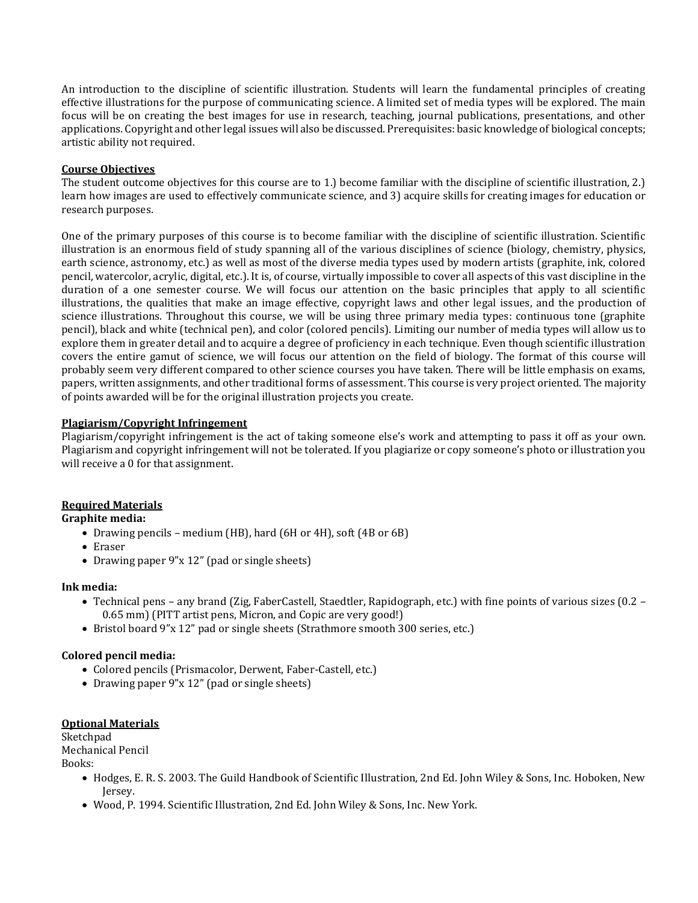An introduction to the discipline of scientific illustration. Students will learn the fundamental principles of creating effective illustrations for the purpose of communicating science. A limited set of media types will be explored. The main focus will be on creating the best images for use in research, teaching, journal publications, presentations, and other applications. Copyright and other legal issues will also be discussed. Prerequisites: basic knowledge of biological concepts; artistic ability not required.

#### **Course Objectives**

The student outcome objectives for this course are to 1.) become familiar with the discipline of scientific illustration, 2.) learn how images are used to effectively communicate science, and 3) acquire skills for creating images for education or research purposes.

One of the primary purposes of this course is to become familiar with the discipline of scientific illustration. Scientific illustration is an enormous field of study spanning all of the various disciplines of science (biology, chemistry, physics, earth science, astronomy, etc.) as well as most of the diverse media types used by modern artists (graphite, ink, colored pencil, watercolor, acrylic, digital, etc.). It is, of course, virtually impossible to cover all aspects of this vast discipline in the duration of a one semester course. We will focus our attention on the basic principles that apply to all scientific illustrations, the qualities that make an image effective, copyright laws and other legal issues, and the production of science illustrations. Throughout this course, we will be using three primary media types: continuous tone (graphite pencil), black and white (technical pen), and color (colored pencils). Limiting our number of media types will allow us to explore them in greater detail and to acquire a degree of proficiency in each technique. Even though scientific illustration covers the entire gamut of science, we will focus our attention on the field of biology. The format of this course will probably seem very different compared to other science courses you have taken. There will be little emphasis on exams, papers, written assignments, and other traditional forms of assessment. This course is very project oriented. The majority of points awarded will be for the original illustration projects you create.

## **Plagiarism/Copyright Infringement**

Plagiarism/copyright infringement is the act of taking someone else's work and attempting to pass it off as your own. Plagiarism and copyright infringement will not be tolerated. If you plagiarize or copy someone's photo or illustration you will receive a 0 for that assignment.

# **Required Materials**

## **Graphite media:**

- Drawing pencils medium (HB), hard (6H or 4H), soft (4B or 6B)
- Eraser
- Drawing paper 9"x 12" (pad or single sheets)

#### **Ink media:**

- Technical pens any brand (Zig, FaberCastell, Staedtler, Rapidograph, etc.) with fine points of various sizes (0.2 0.65 mm) (PITT artist pens, Micron, and Copic are very good!)
- Bristol board 9"x 12" pad or single sheets (Strathmore smooth 300 series, etc.)

#### **Colored pencil media:**

- Colored pencils (Prismacolor, Derwent, Faber-Castell, etc.)
- Drawing paper 9"x 12" (pad or single sheets)

#### **Optional Materials**

Sketchpad Mechanical Pencil

Books:

- Hodges, E. R. S. 2003. The Guild Handbook of Scientific Illustration, 2nd Ed. John Wiley & Sons, Inc. Hoboken, New Jersey.
- Wood, P. 1994. Scientific Illustration, 2nd Ed. John Wiley & Sons, Inc. New York.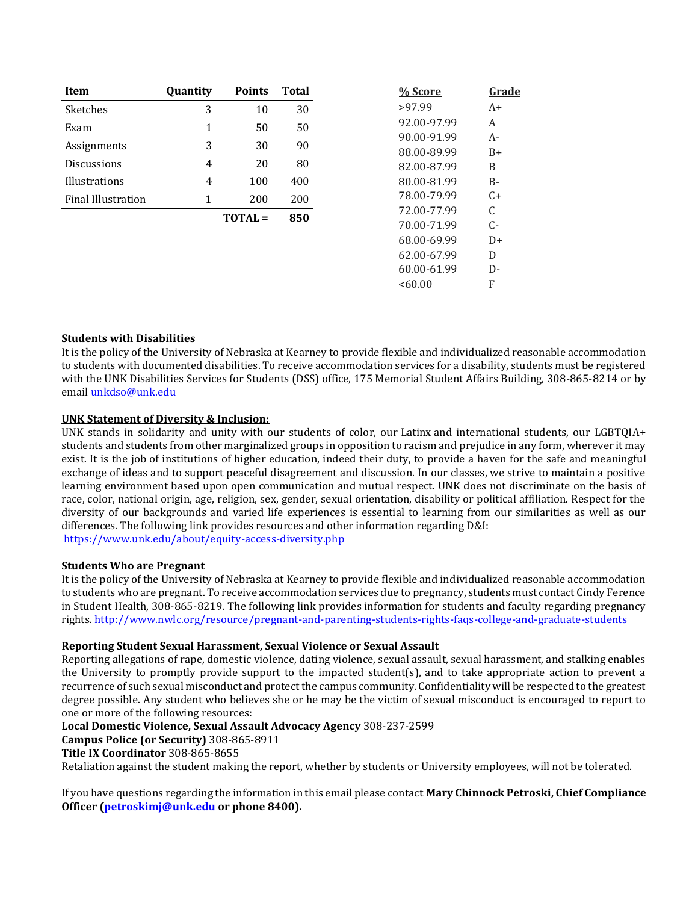| Item                      | <b>Quantity</b> | <b>Points</b>  | <b>Total</b> | % Score     | Grade |
|---------------------------|-----------------|----------------|--------------|-------------|-------|
| Sketches                  | 3               | 10             | 30           | >97.99      | $A+$  |
| Exam                      | 1               | 50             | 50           | 92.00-97.99 | A     |
|                           | 3               | 30             | 90           | 90.00-91.99 | $A-$  |
| Assignments               |                 |                |              | 88.00-89.99 | $B+$  |
| <b>Discussions</b>        | 4               | 20             | 80           | 82.00-87.99 | B     |
| Illustrations             | $\overline{4}$  | 100            | 400          | 80.00-81.99 | $B -$ |
| <b>Final Illustration</b> | 1               | 200            | 200          | 78.00-79.99 | $C+$  |
|                           |                 | <b>TOTAL</b> = | 850          | 72.00-77.99 | C     |
|                           |                 |                |              | 70.00-71.99 | C-    |
|                           |                 |                |              | 68.00-69.99 | $D+$  |
|                           |                 |                |              | 62.00-67.99 | D     |
|                           |                 |                |              | 60.00-61.99 | D-    |
|                           |                 |                |              | <60.00      | F     |

## **Students with Disabilities**

It is the policy of the University of Nebraska at Kearney to provide flexible and individualized reasonable accommodation to students with documented disabilities. To receive accommodation services for a disability, students must be registered with the UNK Disabilities Services for Students (DSS) office, 175 Memorial Student Affairs Building, 308-865-8214 or by email [unkdso@unk.edu](mailto:unkdso@unk.edu)

## **UNK Statement of Diversity & Inclusion:**

UNK stands in solidarity and unity with our students of color, our Latinx and international students, our LGBTQIA+ students and students from other marginalized groups in opposition to racism and prejudice in any form, wherever it may exist. It is the job of institutions of higher education, indeed their duty, to provide a haven for the safe and meaningful exchange of ideas and to support peaceful disagreement and discussion. In our classes, we strive to maintain a positive learning environment based upon open communication and mutual respect. UNK does not discriminate on the basis of race, color, national origin, age, religion, sex, gender, sexual orientation, disability or political affiliation. Respect for the diversity of our backgrounds and varied life experiences is essential to learning from our similarities as well as our differences. The following link provides resources and other information regarding D&I: <https://www.unk.edu/about/equity-access-diversity.php>

#### **Students Who are Pregnant**

It is the policy of the University of Nebraska at Kearney to provide flexible and individualized reasonable accommodation to students who are pregnant. To receive accommodation services due to pregnancy, students must contact Cindy Ference in Student Health, 308-865-8219. The following link provides information for students and faculty regarding pregnancy rights. [http://www.nwlc.org/resource/pregnant-and-parenting-students-rights-faqs-college-and-graduate-students](https://urldefense.proofpoint.com/v2/url?u=http-3A__www.nwlc.org_resource_pregnant-2Dand-2Dparenting-2Dstudents-2Drights-2Dfaqs-2Dcollege-2Dand-2Dgraduate-2Dstudents&d=DwMFAg&c=Cu5g146wZdoqVuKpTNsYHeFX_rg6kWhlkLF8Eft-wwo&r=BJkIhAaMtWY7PlqIhIOyVw&m=RgBL3s2VNHfvD5ReMK2q_PhwYU8dbEt1vxs1BO4WkpQ&s=MmB91XAzaW-E7UPMXPGx9tWJQbTWJYyYzM8gLjhEzQ0&e=)

# **Reporting Student Sexual Harassment, Sexual Violence or Sexual Assault**

Reporting allegations of rape, domestic violence, dating violence, sexual assault, sexual harassment, and stalking enables the University to promptly provide support to the impacted student(s), and to take appropriate action to prevent a recurrence of such sexual misconduct and protect the campus community. Confidentiality will be respected to the greatest degree possible. Any student who believes she or he may be the victim of sexual misconduct is encouraged to report to one or more of the following resources:

# **Local Domestic Violence, Sexual Assault Advocacy Agency** 308-237-2599

**Campus Police (or Security)** 308-865-8911

## **Title IX Coordinator** 308-865-8655

Retaliation against the student making the report, whether by students or University employees, will not be tolerated.

If you have questions regarding the information in this email please contact **Mary Chinnock Petroski, Chief Compliance Officer [\(petroskimj@unk.edu](mailto:petroskimj@unk.edu) or phone 8400).**